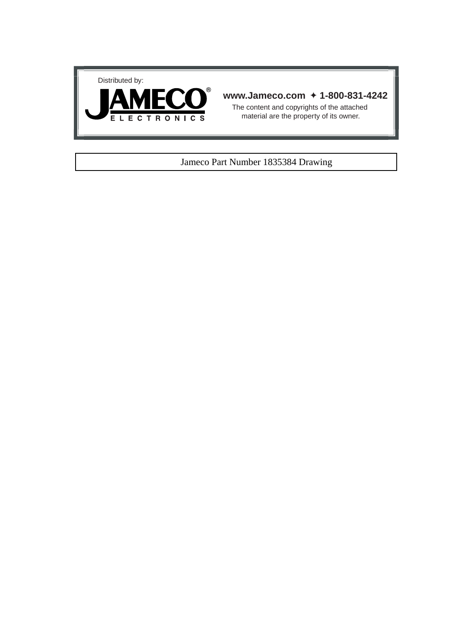



## **www.Jameco.com** ✦ **1-800-831-4242**

The content and copyrights of the attached material are the property of its owner.

## Jameco Part Number 1835384 Drawing